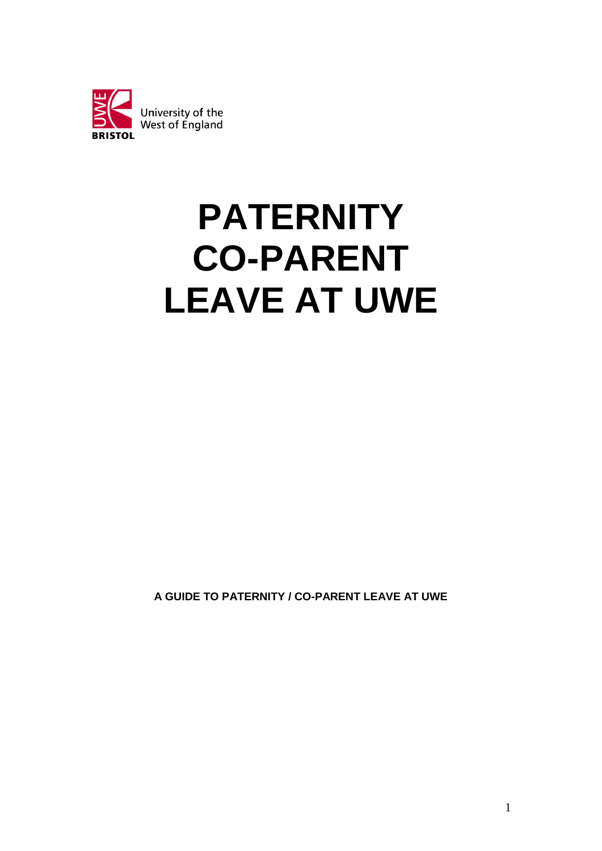

# **PATERNITY CO-PARENT LEAVE AT UWE**

**A GUIDE TO PATERNITY / CO-PARENT LEAVE AT UWE**

1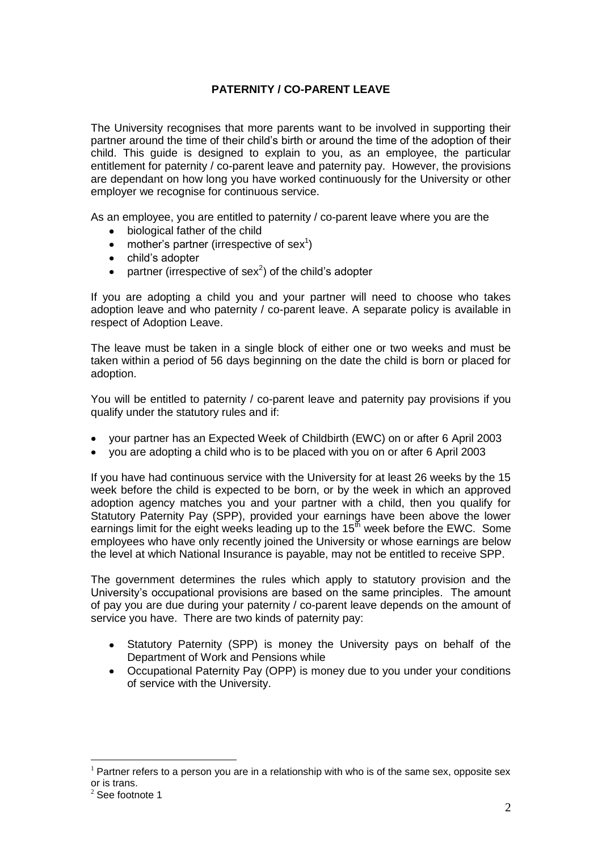# **PATERNITY / CO-PARENT LEAVE**

The University recognises that more parents want to be involved in supporting their partner around the time of their child's birth or around the time of the adoption of their child. This guide is designed to explain to you, as an employee, the particular entitlement for paternity / co-parent leave and paternity pay. However, the provisions are dependant on how long you have worked continuously for the University or other employer we recognise for continuous service.

As an employee, you are entitled to paternity / co-parent leave where you are the

- biological father of the child  $\bullet$
- mother's partner (irrespective of sex<sup>1</sup>)
- $\bullet$ child's adopter
- partner (irrespective of sex<sup>2</sup>) of the child's adopter

If you are adopting a child you and your partner will need to choose who takes adoption leave and who paternity / co-parent leave. A separate policy is available in respect of Adoption Leave.

The leave must be taken in a single block of either one or two weeks and must be taken within a period of 56 days beginning on the date the child is born or placed for adoption.

You will be entitled to paternity / co-parent leave and paternity pay provisions if you qualify under the statutory rules and if:

- your partner has an Expected Week of Childbirth (EWC) on or after 6 April 2003  $\bullet$
- you are adopting a child who is to be placed with you on or after 6 April 2003

If you have had continuous service with the University for at least 26 weeks by the 15 week before the child is expected to be born, or by the week in which an approved adoption agency matches you and your partner with a child, then you qualify for Statutory Paternity Pay (SPP), provided your earnings have been above the lower earnings limit for the eight weeks leading up to the  $15<sup>th</sup>$  week before the EWC. Some employees who have only recently joined the University or whose earnings are below the level at which National Insurance is payable, may not be entitled to receive SPP.

The government determines the rules which apply to statutory provision and the University's occupational provisions are based on the same principles. The amount of pay you are due during your paternity / co-parent leave depends on the amount of service you have. There are two kinds of paternity pay:

- $\bullet$ Statutory Paternity (SPP) is money the University pays on behalf of the Department of Work and Pensions while
- Occupational Paternity Pay (OPP) is money due to you under your conditions of service with the University.

 $\overline{a}$ 

 $<sup>1</sup>$  Partner refers to a person you are in a relationship with who is of the same sex, opposite sex</sup> or is trans.

 $2^{2}$  See footnote 1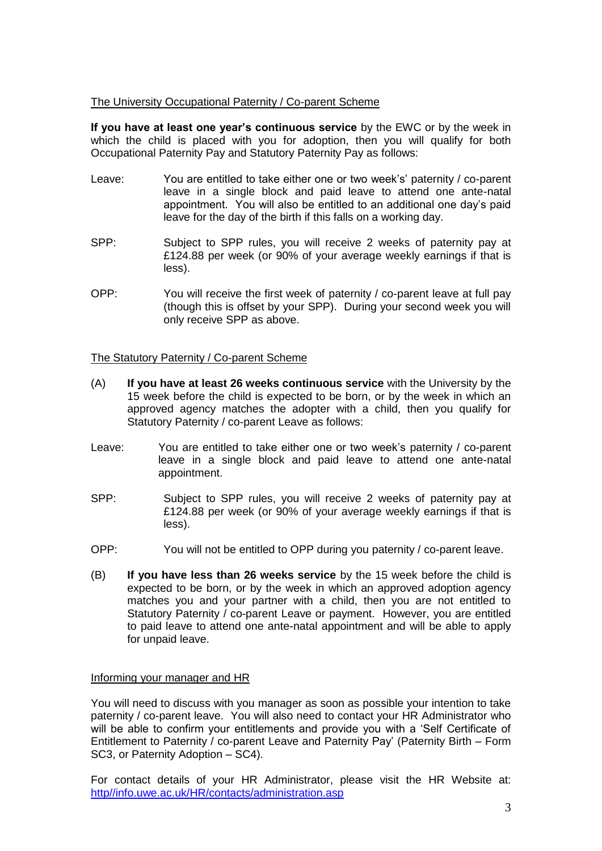# The University Occupational Paternity / Co-parent Scheme

**If you have at least one year's continuous service** by the EWC or by the week in which the child is placed with you for adoption, then you will qualify for both Occupational Paternity Pay and Statutory Paternity Pay as follows:

- Leave: You are entitled to take either one or two week's' paternity / co-parent leave in a single block and paid leave to attend one ante-natal appointment. You will also be entitled to an additional one day's paid leave for the day of the birth if this falls on a working day.
- SPP: Subject to SPP rules, you will receive 2 weeks of paternity pay at £124.88 per week (or 90% of your average weekly earnings if that is less).
- OPP: You will receive the first week of paternity / co-parent leave at full pay (though this is offset by your SPP). During your second week you will only receive SPP as above.

## The Statutory Paternity / Co-parent Scheme

- (A) **If you have at least 26 weeks continuous service** with the University by the 15 week before the child is expected to be born, or by the week in which an approved agency matches the adopter with a child, then you qualify for Statutory Paternity / co-parent Leave as follows:
- Leave: You are entitled to take either one or two week's paternity / co-parent leave in a single block and paid leave to attend one ante-natal appointment.
- SPP: Subject to SPP rules, you will receive 2 weeks of paternity pay at £124.88 per week (or 90% of your average weekly earnings if that is less).
- OPP: You will not be entitled to OPP during you paternity / co-parent leave.
- (B) **If you have less than 26 weeks service** by the 15 week before the child is expected to be born, or by the week in which an approved adoption agency matches you and your partner with a child, then you are not entitled to Statutory Paternity / co-parent Leave or payment. However, you are entitled to paid leave to attend one ante-natal appointment and will be able to apply for unpaid leave.

## Informing your manager and HR

You will need to discuss with you manager as soon as possible your intention to take paternity / co-parent leave. You will also need to contact your HR Administrator who will be able to confirm your entitlements and provide you with a 'Self Certificate of Entitlement to Paternity / co-parent Leave and Paternity Pay' (Paternity Birth – Form SC3, or Paternity Adoption – SC4).

For contact details of your HR Administrator, please visit the HR Website at: http//info.uwe.ac.uk/HR/contacts/administration.asp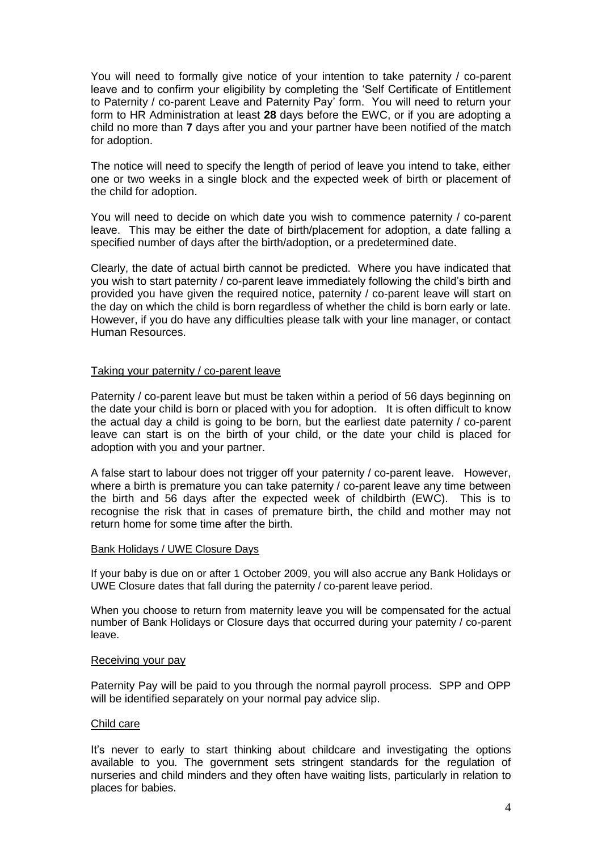You will need to formally give notice of your intention to take paternity / co-parent leave and to confirm your eligibility by completing the 'Self Certificate of Entitlement to Paternity / co-parent Leave and Paternity Pay' form. You will need to return your form to HR Administration at least **28** days before the EWC, or if you are adopting a child no more than **7** days after you and your partner have been notified of the match for adoption.

The notice will need to specify the length of period of leave you intend to take, either one or two weeks in a single block and the expected week of birth or placement of the child for adoption.

You will need to decide on which date you wish to commence paternity / co-parent leave. This may be either the date of birth/placement for adoption, a date falling a specified number of days after the birth/adoption, or a predetermined date.

Clearly, the date of actual birth cannot be predicted. Where you have indicated that you wish to start paternity / co-parent leave immediately following the child's birth and provided you have given the required notice, paternity / co-parent leave will start on the day on which the child is born regardless of whether the child is born early or late. However, if you do have any difficulties please talk with your line manager, or contact Human Resources.

## Taking your paternity / co-parent leave

Paternity / co-parent leave but must be taken within a period of 56 days beginning on the date your child is born or placed with you for adoption. It is often difficult to know the actual day a child is going to be born, but the earliest date paternity / co-parent leave can start is on the birth of your child, or the date your child is placed for adoption with you and your partner.

A false start to labour does not trigger off your paternity / co-parent leave. However, where a birth is premature you can take paternity / co-parent leave any time between the birth and 56 days after the expected week of childbirth (EWC). This is to recognise the risk that in cases of premature birth, the child and mother may not return home for some time after the birth.

#### Bank Holidays / UWE Closure Days

If your baby is due on or after 1 October 2009, you will also accrue any Bank Holidays or UWE Closure dates that fall during the paternity / co-parent leave period.

When you choose to return from maternity leave you will be compensated for the actual number of Bank Holidays or Closure days that occurred during your paternity / co-parent leave.

#### Receiving your pay

Paternity Pay will be paid to you through the normal payroll process. SPP and OPP will be identified separately on your normal pay advice slip.

#### Child care

It's never to early to start thinking about childcare and investigating the options available to you. The government sets stringent standards for the regulation of nurseries and child minders and they often have waiting lists, particularly in relation to places for babies.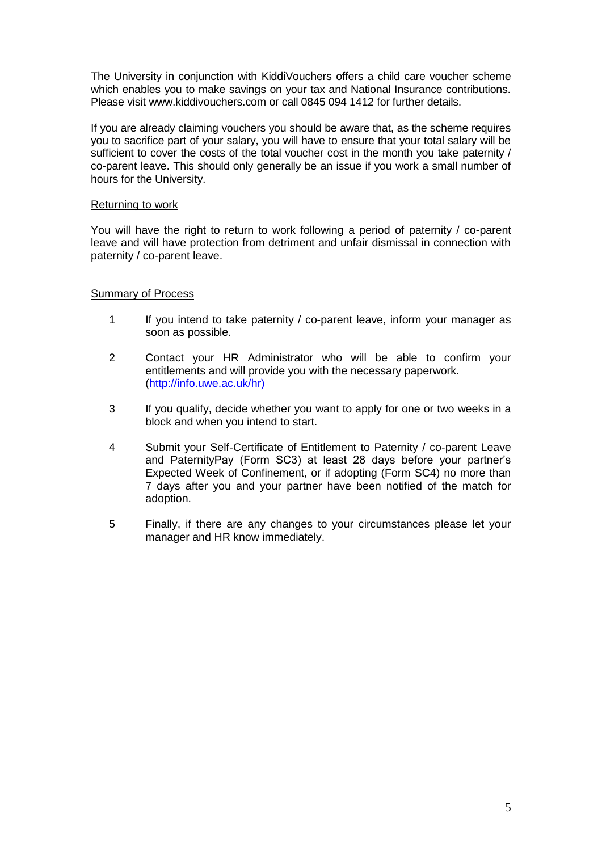The University in conjunction with KiddiVouchers offers a child care voucher scheme which enables you to make savings on your tax and National Insurance contributions. Please visit www.kiddivouchers.com or call 0845 094 1412 for further details.

If you are already claiming vouchers you should be aware that, as the scheme requires you to sacrifice part of your salary, you will have to ensure that your total salary will be sufficient to cover the costs of the total voucher cost in the month you take paternity / co-parent leave. This should only generally be an issue if you work a small number of hours for the University.

## Returning to work

You will have the right to return to work following a period of paternity / co-parent leave and will have protection from detriment and unfair dismissal in connection with paternity / co-parent leave.

## Summary of Process

- 1 If you intend to take paternity / co-parent leave, inform your manager as soon as possible.
- 2 Contact your HR Administrator who will be able to confirm your entitlements and will provide you with the necessary paperwork. (http://info.uwe.ac.uk/hr)
- 3 If you qualify, decide whether you want to apply for one or two weeks in a block and when you intend to start.
- 4 Submit your Self-Certificate of Entitlement to Paternity / co-parent Leave and PaternityPay (Form SC3) at least 28 days before your partner's Expected Week of Confinement, or if adopting (Form SC4) no more than 7 days after you and your partner have been notified of the match for adoption.
- 5 Finally, if there are any changes to your circumstances please let your manager and HR know immediately.